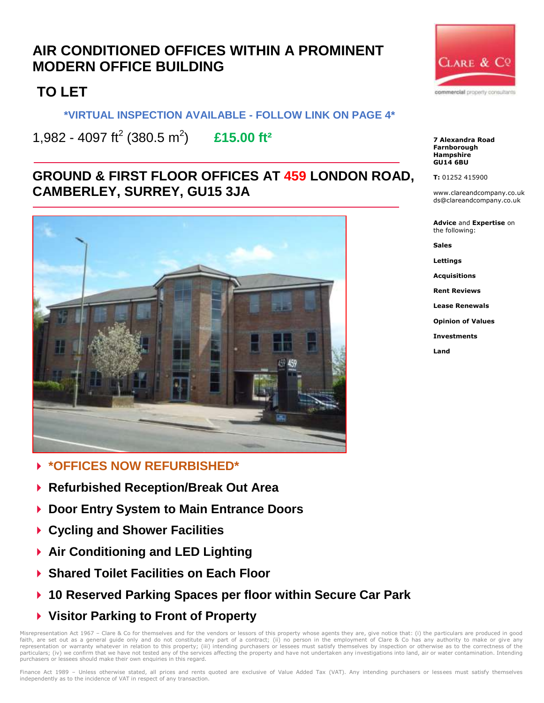# **AIR CONDITIONED OFFICES WITHIN A PROMINENT MODERN OFFICE BUILDING**

# **TO LET**

### **\*VIRTUAL INSPECTION AVAILABLE - FOLLOW LINK ON PAGE 4\***

1,982 - 4097 ft<sup>2</sup> (380.5 m<sup>2</sup>) £15.00 ft<sup>2</sup>

# **GROUND & FIRST FLOOR OFFICES AT 459 LONDON ROAD, CAMBERLEY, SURREY, GU15 3JA**



# **\*OFFICES NOW REFURBISHED\***

- **Refurbished Reception/Break Out Area**
- **Door Entry System to Main Entrance Doors**
- **Cycling and Shower Facilities**
- **Air Conditioning and LED Lighting**
- **Shared Toilet Facilities on Each Floor**
- **10 Reserved Parking Spaces per floor within Secure Car Park**
- **Visitor Parking to Front of Property**

Misrepresentation Act 1967 - Clare & Co for themselves and for the vendors or lessors of this property whose agents they are, give notice that: (i) the particulars are produced in good faith, are set out as a general guide only and do not constitute any part of a contract; (ii) no person in the employment of Clare & Co has any authority to make or give any representation or warranty whatever in relation to this property; (iii) intending purchasers or lessees must satisfy themselves by inspection or otherwise as to the correctness of the<br>particulars; (iv) we confirm that we h purchasers or lessees should make their own enquiries in this regard.

**7 Alexandra Road Farnborough Hampshire GU14 6BU**

**T:** 01252 415900

www.clareandcompany.co.uk ds@clareandcompany.co.uk

**Advice** and **Expertise** on the following:

**Sales**

**Lettings**

**Acquisitions**

**Rent Reviews**

**Lease Renewals**

**Opinion of Values**

**Investments**

**Land**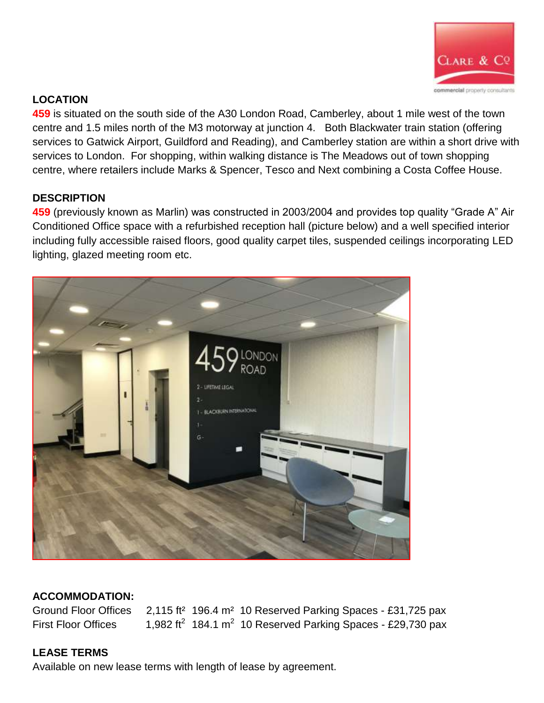

#### **LOCATION**

**459** is situated on the south side of the A30 London Road, Camberley, about 1 mile west of the town centre and 1.5 miles north of the M3 motorway at junction 4. Both Blackwater train station (offering services to Gatwick Airport, Guildford and Reading), and Camberley station are within a short drive with services to London. For shopping, within walking distance is The Meadows out of town shopping centre, where retailers include Marks & Spencer, Tesco and Next combining a Costa Coffee House.

#### **DESCRIPTION**

**459** (previously known as Marlin) was constructed in 2003/2004 and provides top quality "Grade A" Air Conditioned Office space with a refurbished reception hall (picture below) and a well specified interior including fully accessible raised floors, good quality carpet tiles, suspended ceilings incorporating LED lighting, glazed meeting room etc.



# **ACCOMMODATION:**

Ground Floor Offices 2,115 ft² 196.4 m² 10 Reserved Parking Spaces - £31,725 pax **First Floor Offices** 184.1  $m^2$  10 Reserved Parking Spaces - £29,730 pax

# **LEASE TERMS**

Available on new lease terms with length of lease by agreement.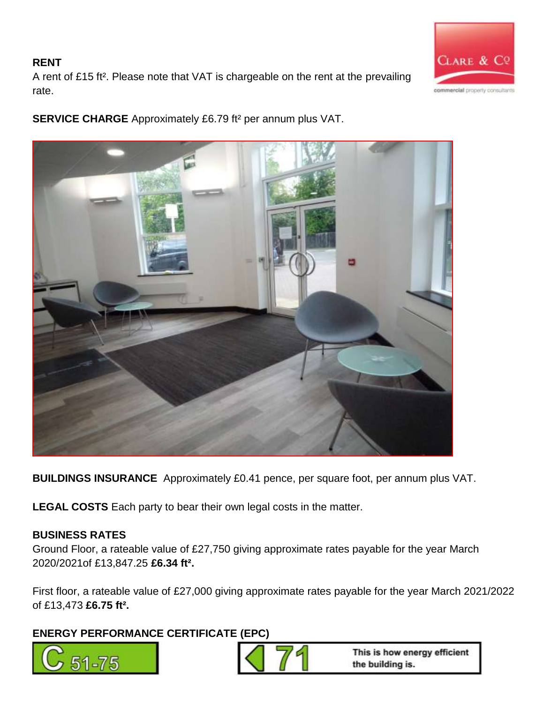# **RENT**

A rent of £15 ft². Please note that VAT is chargeable on the rent at the prevailing rate.



**SERVICE CHARGE** Approximately £6.79 ft² per annum plus VAT.



**BUILDINGS INSURANCE** Approximately £0.41 pence, per square foot, per annum plus VAT.

**LEGAL COSTS** Each party to bear their own legal costs in the matter.

# **BUSINESS RATES**

Ground Floor, a rateable value of £27,750 giving approximate rates payable for the year March 2020/2021of £13,847.25 **£6.34 ft².**

First floor, a rateable value of £27,000 giving approximate rates payable for the year March 2021/2022 of £13,473 **£6.75 ft².**

# **ENERGY PERFORMANCE CERTIFICATE (EPC)**





This is how energy efficient the building is.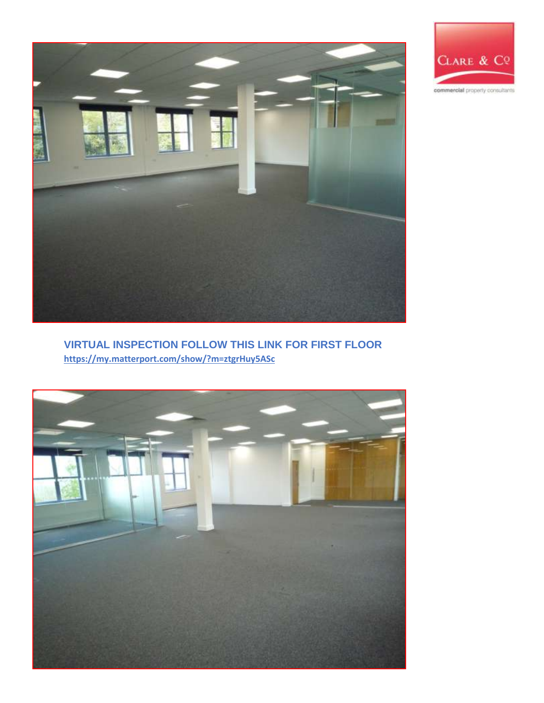



**VIRTUAL INSPECTION FOLLOW THIS LINK FOR FIRST FLOOR <https://my.matterport.com/show/?m=ztgrHuy5ASc>**

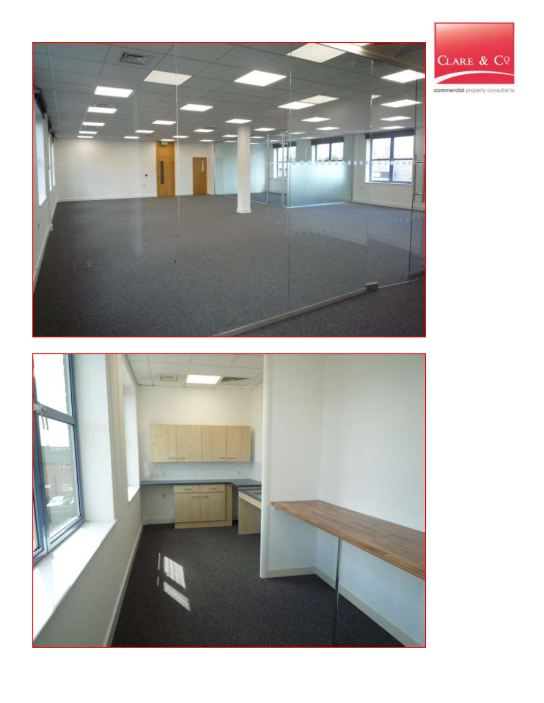